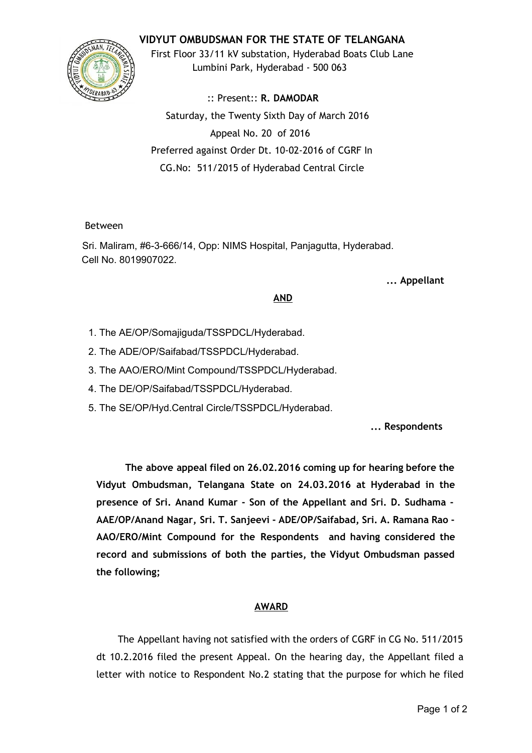### **VIDYUT OMBUDSMAN FOR THE STATE OF TELANGANA**



First Floor 33/11 kV substation, Hyderabad Boats Club Lane Lumbini Park, Hyderabad ‐ 500 063

:: Present:: **R. DAMODAR** Saturday, the Twenty Sixth Day of March 2016 Appeal No. 20 of 2016 Preferred against Order Dt. 10‐02‐2016 of CGRF In CG.No: 511/2015 of Hyderabad Central Circle

#### Between

Sri. Maliram, #6-3-666/14, Opp: NIMS Hospital, Panjagutta, Hyderabad. Cell No. 8019907022.

**... Appellant**

#### **AND**

- 1. The AE/OP/Somajiguda/TSSPDCL/Hyderabad.
- 2. The ADE/OP/Saifabad/TSSPDCL/Hyderabad.
- 3. The AAO/ERO/Mint Compound/TSSPDCL/Hyderabad.
- 4. The DE/OP/Saifabad/TSSPDCL/Hyderabad.
- 5. The SE/OP/Hyd.Central Circle/TSSPDCL/Hyderabad.

**... Respondents**

**The above appeal filed on 26.02.2016 coming up for hearing before the Vidyut Ombudsman, Telangana State on 24.03.2016 at Hyderabad in the presence of Sri. Anand Kumar ‐ Son of the Appellant and Sri. D. Sudhama ‐ AAE/OP/Anand Nagar, Sri. T. Sanjeevi ‐ ADE/OP/Saifabad, Sri. A. Ramana Rao ‐ AAO/ERO/Mint Compound for the Respondents and having considered the record and submissions of both the parties, the Vidyut Ombudsman passed the following;**

# **AWARD**

The Appellant having not satisfied with the orders of CGRF in CG No. 511/2015 dt 10.2.2016 filed the present Appeal. On the hearing day, the Appellant filed a letter with notice to Respondent No.2 stating that the purpose for which he filed